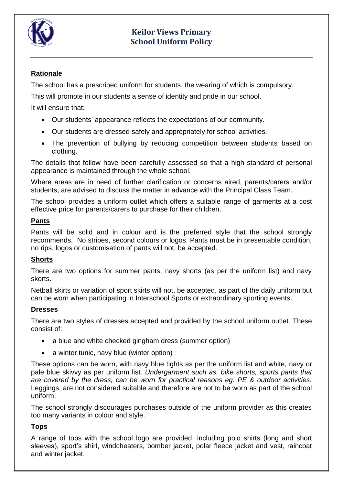

# **Keilor Views Primary School Uniform Policy**

# **Rationale**

The school has a prescribed uniform for students, the wearing of which is compulsory.

This will promote in our students a sense of identity and pride in our school.

It will ensure that:

- Our students' appearance reflects the expectations of our community.
- Our students are dressed safely and appropriately for school activities.
- The prevention of bullying by reducing competition between students based on clothing.

The details that follow have been carefully assessed so that a high standard of personal appearance is maintained through the whole school.

Where areas are in need of further clarification or concerns aired, parents/carers and/or students, are advised to discuss the matter in advance with the Principal Class Team.

The school provides a uniform outlet which offers a suitable range of garments at a cost effective price for parents/carers to purchase for their children.

#### **Pants**

Pants will be solid and in colour and is the preferred style that the school strongly recommends. No stripes, second colours or logos. Pants must be in presentable condition, no rips, logos or customisation of pants will not, be accepted.

## **Shorts**

There are two options for summer pants, navy shorts (as per the uniform list) and navy skorts.

Netball skirts or variation of sport skirts will not, be accepted, as part of the daily uniform but can be worn when participating in Interschool Sports or extraordinary sporting events.

## **Dresses**

There are two styles of dresses accepted and provided by the school uniform outlet. These consist of:

- a blue and white checked gingham dress (summer option)
- a winter tunic, navy blue (winter option)

These options can be worn, with navy blue tights as per the uniform list and white, navy or pale blue skivvy as per uniform list. *Undergarment such as, bike shorts, sports pants that are covered by the dress, can be worn for practical reasons eg. PE & outdoor activities.*  Leggings, are not considered suitable and therefore are not to be worn as part of the school uniform.

The school strongly discourages purchases outside of the uniform provider as this creates too many variants in colour and style.

# **Tops**

A range of tops with the school logo are provided, including polo shirts (long and short sleeves), sport's shirt, windcheaters, bomber jacket, polar fleece jacket and vest, raincoat and winter jacket.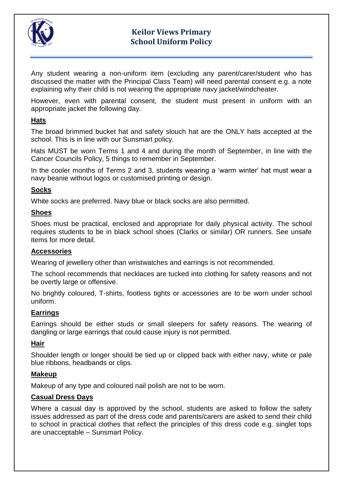

# **Keilor Views Primary School Uniform Policy**

Any student wearing a non-uniform item (excluding any parent/carer/student who has discussed the matter with the Principal Class Team) will need parental consent e.g. a note explaining why their child is not wearing the appropriate navy jacket/windcheater.

However, even with parental consent, the student must present in uniform with an appropriate jacket the following day.

#### **Hats**

The broad brimmed bucket hat and safety slouch hat are the ONLY hats accepted at the school. This is in line with our Sunsmart policy.

Hats MUST be worn Terms 1 and 4 and during the month of September, in line with the Cancer Councils Policy, 5 things to remember in September.

In the cooler months of Terms 2 and 3, students wearing a 'warm winter' hat must wear a navy beanie without logos or customised printing or design.

#### **Socks**

White socks are preferred. Navy blue or black socks are also permitted.

#### **Shoes**

Shoes must be practical, enclosed and appropriate for daily physical activity. The school requires students to be in black school shoes (Clarks or similar) OR runners. See unsafe items for more detail.

#### **Accessories**

Wearing of jewellery other than wristwatches and earrings is not recommended.

The school recommends that necklaces are tucked into clothing for safety reasons and not be overtly large or offensive.

No brightly coloured, T-shirts, footless tights or accessories are to be worn under school uniform.

#### **Earrings**

Earrings should be either studs or small sleepers for safety reasons. The wearing of dangling or large earrings that could cause injury is not permitted.

#### **Hair**

Shoulder length or longer should be tied up or clipped back with either navy, white or pale blue ribbons, headbands or clips.

#### **Makeup**

Makeup of any type and coloured nail polish are not to be worn.

#### **Casual Dress Days**

Where a casual day is approved by the school, students are asked to follow the safety issues addressed as part of the dress code and parents/carers are asked to send their child to school in practical clothes that reflect the principles of this dress code e.g. singlet tops are unacceptable – Sunsmart Policy.